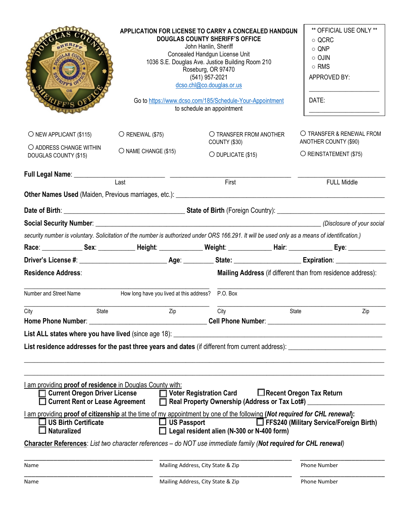| OUGLAS COUP<br>TFF'S OF<br>O <sub>R</sub>                                                                                         |                                          | APPLICATION FOR LICENSE TO CARRY A CONCEALED HANDGUN<br><b>DOUGLAS COUNTY SHERIFF'S OFFICE</b><br>John Hanlin, Sheriff<br>Concealed Handgun License Unit<br>1036 S.E. Douglas Ave. Justice Building Room 210<br>Roseburg, OR 97470<br>(541) 957-2021<br>dcso.chl@co.douglas.or.us<br>Go to https://www.dcso.com/185/Schedule-Your-Appointment<br>to schedule an appointment | ** OFFICIAL USE ONLY **<br>$\circ$ QCRC<br>$\circ$ QNP<br>$\circ$ OJIN<br>o RMS<br>APPROVED BY:<br>DATE: |
|-----------------------------------------------------------------------------------------------------------------------------------|------------------------------------------|-----------------------------------------------------------------------------------------------------------------------------------------------------------------------------------------------------------------------------------------------------------------------------------------------------------------------------------------------------------------------------|----------------------------------------------------------------------------------------------------------|
| $\bigcirc$ NEW APPLICANT (\$115)<br>O ADDRESS CHANGE WITHIN                                                                       | $\bigcirc$ RENEWAL (\$75)                | O TRANSFER FROM ANOTHER<br>COUNTY (\$30)                                                                                                                                                                                                                                                                                                                                    | O TRANSFER & RENEWAL FROM<br>ANOTHER COUNTY (\$90)                                                       |
| DOUGLAS COUNTY (\$15)                                                                                                             | O NAME CHANGE (\$15)                     | $O$ DUPLICATE (\$15)                                                                                                                                                                                                                                                                                                                                                        | O REINSTATEMENT (\$75)                                                                                   |
|                                                                                                                                   |                                          |                                                                                                                                                                                                                                                                                                                                                                             |                                                                                                          |
|                                                                                                                                   | Last                                     | First<br>Other Names Used (Maiden, Previous marriages, etc.): [19] Decree Content Content Content Content Content Content Content Content Content Content Content Content Content Content Content Content Content Content Content Conte                                                                                                                                     | <b>FULL Middle</b>                                                                                       |
|                                                                                                                                   |                                          |                                                                                                                                                                                                                                                                                                                                                                             |                                                                                                          |
|                                                                                                                                   |                                          |                                                                                                                                                                                                                                                                                                                                                                             |                                                                                                          |
|                                                                                                                                   |                                          | security number is voluntary. Solicitation of the number is authorized under ORS 166.291. It will be used only as a means of identification.)                                                                                                                                                                                                                               |                                                                                                          |
|                                                                                                                                   |                                          | Race: _______________Sex: ______________Height: _______________Weight: ____________________Hair: __________________Eye: ______________                                                                                                                                                                                                                                      |                                                                                                          |
|                                                                                                                                   |                                          |                                                                                                                                                                                                                                                                                                                                                                             |                                                                                                          |
|                                                                                                                                   |                                          |                                                                                                                                                                                                                                                                                                                                                                             |                                                                                                          |
| <b>Residence Address:</b>                                                                                                         |                                          |                                                                                                                                                                                                                                                                                                                                                                             | Mailing Address (if different than from residence address):                                              |
| Number and Street Name                                                                                                            | How long have you lived at this address? | P.O. Box                                                                                                                                                                                                                                                                                                                                                                    |                                                                                                          |
| City<br>State<br><b>Home Phone Number:</b>                                                                                        | Zip                                      | City<br>Cell Phone Number: __                                                                                                                                                                                                                                                                                                                                               | <b>State</b><br>Zip                                                                                      |
|                                                                                                                                   |                                          |                                                                                                                                                                                                                                                                                                                                                                             |                                                                                                          |
|                                                                                                                                   |                                          |                                                                                                                                                                                                                                                                                                                                                                             |                                                                                                          |
| I am providing proof of residence in Douglas County with:<br>□ Current Oregon Driver License<br>□ Current Rent or Lease Agreement |                                          | □ Voter Registration Card<br>Real Property Ownership (Address or Tax Lot#) __________________________________                                                                                                                                                                                                                                                               | $\Box$ Recent Oregon Tax Return                                                                          |
| $\square$ US Birth Certificate<br><b>Naturalized</b>                                                                              | $\Box$ US Passport                       | I am providing proof of citizenship at the time of my appointment by one of the following (Not required for CHL renewal):<br>Legal resident alien (N-300 or N-400 form)                                                                                                                                                                                                     | FFS240 (Military Service/Foreign Birth)                                                                  |
|                                                                                                                                   |                                          | Character References: List two character references – do NOT use immediate family (Not required for CHL renewal)                                                                                                                                                                                                                                                            |                                                                                                          |
| Name                                                                                                                              |                                          | Mailing Address, City State & Zip                                                                                                                                                                                                                                                                                                                                           | Phone Number                                                                                             |